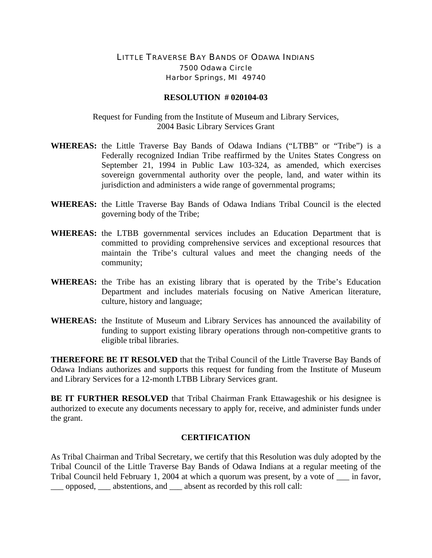## LITTLE TRAVERSE BAY BANDS OF ODAWA INDIANS 7500 Odawa Circle Harbor Springs, MI 49740

## **RESOLUTION # 020104-03**

Request for Funding from the Institute of Museum and Library Services, 2004 Basic Library Services Grant

- **WHEREAS:** the Little Traverse Bay Bands of Odawa Indians ("LTBB" or "Tribe") is a Federally recognized Indian Tribe reaffirmed by the Unites States Congress on September 21, 1994 in Public Law 103-324, as amended, which exercises sovereign governmental authority over the people, land, and water within its jurisdiction and administers a wide range of governmental programs;
- **WHEREAS:** the Little Traverse Bay Bands of Odawa Indians Tribal Council is the elected governing body of the Tribe;
- **WHEREAS:** the LTBB governmental services includes an Education Department that is committed to providing comprehensive services and exceptional resources that maintain the Tribe's cultural values and meet the changing needs of the community;
- **WHEREAS:** the Tribe has an existing library that is operated by the Tribe's Education Department and includes materials focusing on Native American literature, culture, history and language;
- **WHEREAS:** the Institute of Museum and Library Services has announced the availability of funding to support existing library operations through non-competitive grants to eligible tribal libraries.

**THEREFORE BE IT RESOLVED** that the Tribal Council of the Little Traverse Bay Bands of Odawa Indians authorizes and supports this request for funding from the Institute of Museum and Library Services for a 12-month LTBB Library Services grant.

**BE IT FURTHER RESOLVED** that Tribal Chairman Frank Ettawageshik or his designee is authorized to execute any documents necessary to apply for, receive, and administer funds under the grant.

## **CERTIFICATION**

As Tribal Chairman and Tribal Secretary, we certify that this Resolution was duly adopted by the Tribal Council of the Little Traverse Bay Bands of Odawa Indians at a regular meeting of the Tribal Council held February 1, 2004 at which a quorum was present, by a vote of \_\_\_ in favor, \_\_\_ opposed, \_\_\_ abstentions, and \_\_\_ absent as recorded by this roll call: